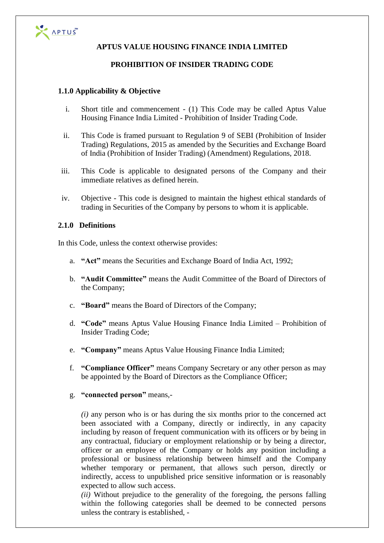

# **APTUS VALUE HOUSING FINANCE INDIA LIMITED**

## **PROHIBITION OF INSIDER TRADING CODE**

## **1.1.0 Applicability & Objective**

- i. Short title and commencement (1) This Code may be called Aptus Value Housing Finance India Limited - Prohibition of Insider Trading Code.
- ii. This Code is framed pursuant to Regulation 9 of SEBI (Prohibition of Insider Trading) Regulations, 2015 as amended by the Securities and Exchange Board of India (Prohibition of Insider Trading) (Amendment) Regulations, 2018.
- iii. This Code is applicable to designated persons of the Company and their immediate relatives as defined herein.
- iv. Objective This code is designed to maintain the highest ethical standards of trading in Securities of the Company by persons to whom it is applicable.

#### **2.1.0 Definitions**

In this Code, unless the context otherwise provides:

- a. **"Act"** means the Securities and Exchange Board of India Act, 1992;
- b. **"Audit Committee"** means the Audit Committee of the Board of Directors of the Company;
- c. **"Board"** means the Board of Directors of the Company;
- d. **"Code"** means Aptus Value Housing Finance India Limited Prohibition of Insider Trading Code;
- e. **"Company"** means Aptus Value Housing Finance India Limited;
- f. **"Compliance Officer"** means Company Secretary or any other person as may be appointed by the Board of Directors as the Compliance Officer;
- g. **"connected person"** means,-

*(i)* any person who is or has during the six months prior to the concerned act been associated with a Company, directly or indirectly, in any capacity including by reason of frequent communication with its officers or by being in any contractual, fiduciary or employment relationship or by being a director, officer or an employee of the Company or holds any position including a professional or business relationship between himself and the Company whether temporary or permanent, that allows such person, directly or indirectly, access to unpublished price sensitive information or is reasonably expected to allow such access.

*(ii)* Without prejudice to the generality of the foregoing, the persons falling within the following categories shall be deemed to be connected persons unless the contrary is established, -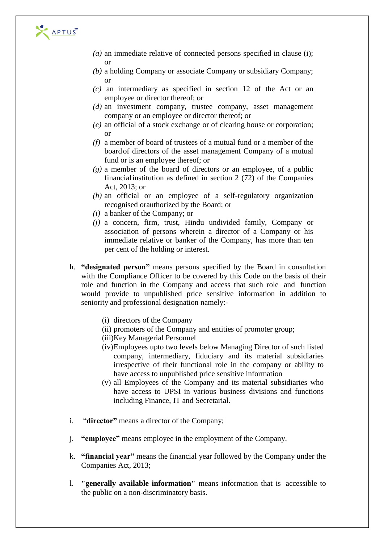

- *(a)* an immediate relative of connected persons specified in clause (i); or
- *(b)* a holding Company or associate Company or subsidiary Company; or
- *(c)* an intermediary as specified in section 12 of the Act or an employee or director thereof; or
- *(d)* an investment company, trustee company, asset management company or an employee or director thereof; or
- *(e)* an official of a stock exchange or of clearing house or corporation; or
- *(f)* a member of board of trustees of a mutual fund or a member of the board of directors of the asset management Company of a mutual fund or is an employee thereof; or
- *(g)* a member of the board of directors or an employee, of a public financial institution as defined in section 2 (72) of the Companies Act, 2013; or
- *(h)* an official or an employee of a self-regulatory organization recognised or authorized by the Board; or
- *(i)* a banker of the Company; or
- *(j)* a concern, firm, trust, Hindu undivided family, Company or association of persons wherein a director of a Company or his immediate relative or banker of the Company, has more than ten per cent of the holding or interest.
- h. **"designated person"** means persons specified by the Board in consultation with the Compliance Officer to be covered by this Code on the basis of their role and function in the Company and access that such role and function would provide to unpublished price sensitive information in addition to seniority and professional designation namely:-
	- (i) directors of the Company
	- (ii) promoters of the Company and entities of promoter group;
	- (iii)Key Managerial Personnel
	- (iv)Employees upto two levels below Managing Director of such listed company, intermediary, fiduciary and its material subsidiaries irrespective of their functional role in the company or ability to have access to unpublished price sensitive information
	- (v) all Employees of the Company and its material subsidiaries who have access to UPSI in various business divisions and functions including Finance, IT and Secretarial.
- i. "**director"** means a director of the Company;
- j. **"employee"** means employee in the employment of the Company.
- k. **"financial year"** means the financial year followed by the Company under the Companies Act, 2013;
- l. **"generally available information"** means information that is accessible to the public on a non-discriminatory basis.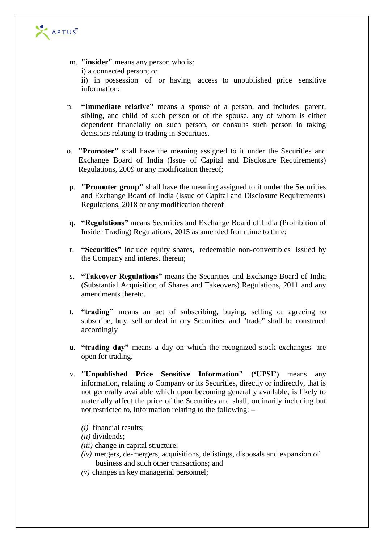

- m. **"insider"** means any person who is: i) a connected person; or ii) in possession of or having access to unpublished price sensitive information;
- n. **"Immediate relative"** means a spouse of a person, and includes parent, sibling, and child of such person or of the spouse, any of whom is either dependent financially on such person, or consults such person in taking decisions relating to trading in Securities.
- o. **"Promoter"** shall have the meaning assigned to it under the Securities and Exchange Board of India (Issue of Capital and Disclosure Requirements) Regulations, 2009 or any modification thereof;
- p. **"Promoter group"** shall have the meaning assigned to it under the Securities and Exchange Board of India (Issue of Capital and Disclosure Requirements) Regulations, 2018 or any modification thereof
- q. **"Regulations"** means Securities and Exchange Board of India (Prohibition of Insider Trading) Regulations, 2015 as amended from time to time;
- r. **"Securities"** include equity shares, redeemable non-convertibles issued by the Company and interest therein;
- s. **"Takeover Regulations"** means the Securities and Exchange Board of India (Substantial Acquisition of Shares and Takeovers) Regulations, 2011 and any amendments thereto.
- t. **"trading"** means an act of subscribing, buying, selling or agreeing to subscribe, buy, sell or deal in any Securities, and "trade" shall be construed accordingly
- u. **"trading day"** means a day on which the recognized stock exchanges are open for trading.
- v. **"Unpublished Price Sensitive Information" ('UPSI')** means any information, relating to Company or its Securities, directly or indirectly, that is not generally available which upon becoming generally available, is likely to materially affect the price of the Securities and shall, ordinarily including but not restricted to, information relating to the following: –
	- *(i)* financial results;
	- *(ii)* dividends;
	- *(iii)* change in capital structure;
	- *(iv)* mergers, de-mergers, acquisitions, delistings, disposals and expansion of business and such other transactions; and
	- *(v)* changes in key managerial personnel;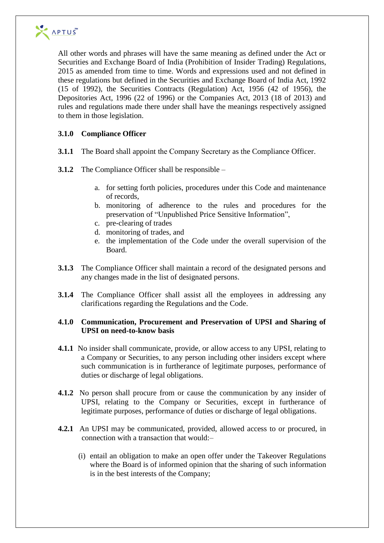

All other words and phrases will have the same meaning as defined under the Act or Securities and Exchange Board of India (Prohibition of Insider Trading) Regulations, 2015 as amended from time to time. Words and expressions used and not defined in these regulations but defined in the Securities and Exchange Board of India Act, 1992 (15 of 1992), the Securities Contracts (Regulation) Act, 1956 (42 of 1956), the Depositories Act, 1996 (22 of 1996) or the Companies Act, 2013 (18 of 2013) and rules and regulations made there under shall have the meanings respectively assigned to them in those legislation.

# **3.1.0 Compliance Officer**

**3.1.1** The Board shall appoint the Company Secretary as the Compliance Officer.

**3.1.2** The Compliance Officer shall be responsible –

- a. for setting forth policies, procedures under this Code and maintenance of records,
- b. monitoring of adherence to the rules and procedures for the preservation of "Unpublished Price Sensitive Information",
- c. pre-clearing of trades
- d. monitoring of trades, and
- e. the implementation of the Code under the overall supervision of the Board.
- **3.1.3** The Compliance Officer shall maintain a record of the designated persons and any changes made in the list of designated persons.
- **3.1.4** The Compliance Officer shall assist all the employees in addressing any clarifications regarding the Regulations and the Code.

## **4.1.0 Communication, Procurement and Preservation of UPSI and Sharing of UPSI on need-to-know basis**

- **4.1.1** No insider shall communicate, provide, or allow access to any UPSI, relating to a Company or Securities, to any person including other insiders except where such communication is in furtherance of legitimate purposes, performance of duties or discharge of legal obligations.
- **4.1.2** No person shall procure from or cause the communication by any insider of UPSI, relating to the Company or Securities, except in furtherance of legitimate purposes, performance of duties or discharge of legal obligations.
- **4.2.1** An UPSI may be communicated, provided, allowed access to or procured, in connection with a transaction that would:–
	- (i) entail an obligation to make an open offer under the Takeover Regulations where the Board is of informed opinion that the sharing of such information is in the best interests of the Company;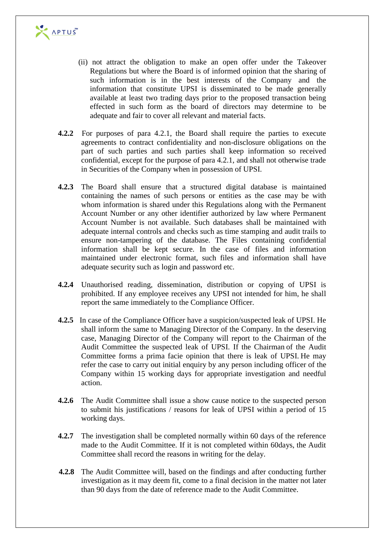

- (ii) not attract the obligation to make an open offer under the Takeover Regulations but where the Board is of informed opinion that the sharing of such information is in the best interests of the Company and the information that constitute UPSI is disseminated to be made generally available at least two trading days prior to the proposed transaction being effected in such form as the board of directors may determine to be adequate and fair to cover all relevant and material facts.
- **4.2.2** For purposes of para 4.2.1, the Board shall require the parties to execute agreements to contract confidentiality and non-disclosure obligations on the part of such parties and such parties shall keep information so received confidential, except for the purpose of para 4.2.1, and shall not otherwise trade in Securities of the Company when in possession of UPSI.
- **4.2.3** The Board shall ensure that a structured digital database is maintained containing the names of such persons or entities as the case may be with whom information is shared under this Regulations along with the Permanent Account Number or any other identifier authorized by law where Permanent Account Number is not available. Such databases shall be maintained with adequate internal controls and checks such as time stamping and audit trails to ensure non-tampering of the database. The Files containing confidential information shall be kept secure. In the case of files and information maintained under electronic format, such files and information shall have adequate security such as login and password etc.
- **4.2.4** Unauthorised reading, dissemination, distribution or copying of UPSI is prohibited. If any employee receives any UPSI not intended for him, he shall report the same immediately to the Compliance Officer.
- **4.2.5** In case of the Compliance Officer have a suspicion/suspected leak of UPSI. He shall inform the same to Managing Director of the Company. In the deserving case, Managing Director of the Company will report to the Chairman of the Audit Committee the suspected leak of UPSI. If the Chairman of the Audit Committee forms a prima facie opinion that there is leak of UPSI. He may refer the case to carry out initial enquiry by any person including officer of the Company within 15 working days for appropriate investigation and needful action.
- **4.2.6** The Audit Committee shall issue a show cause notice to the suspected person to submit his justifications / reasons for leak of UPSI within a period of 15 working days.
- **4.2.7** The investigation shall be completed normally within 60 days of the reference made to the Audit Committee. If it is not completed within 60days, the Audit Committee shall record the reasons in writing for the delay.
- **4.2.8** The Audit Committee will, based on the findings and after conducting further investigation as it may deem fit, come to a final decision in the matter not later than 90 days from the date of reference made to the Audit Committee.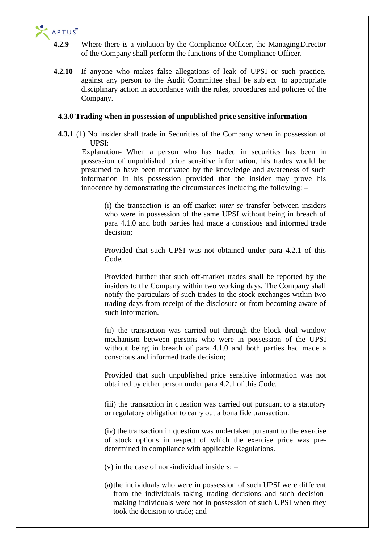

- **4.2.9** Where there is a violation by the Compliance Officer, the ManagingDirector of the Company shall perform the functions of the Compliance Officer.
- **4.2.10** If anyone who makes false allegations of leak of UPSI or such practice, against any person to the Audit Committee shall be subject to appropriate disciplinary action in accordance with the rules, procedures and policies of the Company.

#### **4.3.0 Trading when in possession of unpublished price sensitive information**

**4.3.1** (1) No insider shall trade in Securities of the Company when in possession of UPSI:

Explanation- When a person who has traded in securities has been in possession of unpublished price sensitive information, his trades would be presumed to have been motivated by the knowledge and awareness of such information in his possession provided that the insider may prove his innocence by demonstrating the circumstances including the following: –

(i) the transaction is an off-market *inter-se* transfer between insiders who were in possession of the same UPSI without being in breach of para 4.1.0 and both parties had made a conscious and informed trade decision;

Provided that such UPSI was not obtained under para 4.2.1 of this Code.

Provided further that such off-market trades shall be reported by the insiders to the Company within two working days. The Company shall notify the particulars of such trades to the stock exchanges within two trading days from receipt of the disclosure or from becoming aware of such information.

(ii) the transaction was carried out through the block deal window mechanism between persons who were in possession of the UPSI without being in breach of para 4.1.0 and both parties had made a conscious and informed trade decision;

Provided that such unpublished price sensitive information was not obtained by either person under para 4.2.1 of this Code.

(iii) the transaction in question was carried out pursuant to a statutory or regulatory obligation to carry out a bona fide transaction.

(iv) the transaction in question was undertaken pursuant to the exercise of stock options in respect of which the exercise price was predetermined in compliance with applicable Regulations.

 $(v)$  in the case of non-individual insiders:  $-$ 

(a)the individuals who were in possession of such UPSI were different from the individuals taking trading decisions and such decisionmaking individuals were not in possession of such UPSI when they took the decision to trade; and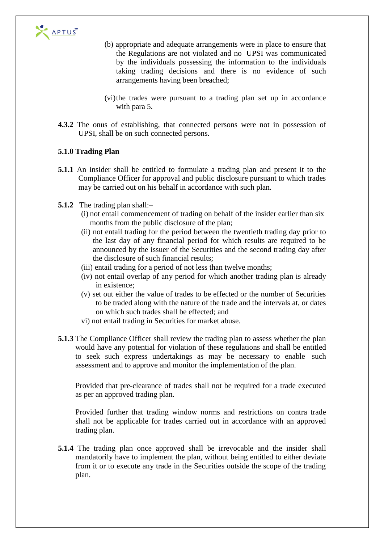

- (b) appropriate and adequate arrangements were in place to ensure that the Regulations are not violated and no UPSI was communicated by the individuals possessing the information to the individuals taking trading decisions and there is no evidence of such arrangements having been breached;
- (vi)the trades were pursuant to a trading plan set up in accordance with para 5.
- **4.3.2** The onus of establishing, that connected persons were not in possession of UPSI, shall be on such connected persons.

## **5.1.0 Trading Plan**

- **5.1.1** An insider shall be entitled to formulate a trading plan and present it to the Compliance Officer for approval and public disclosure pursuant to which trades may be carried out on his behalf in accordance with such plan.
- **5.1.2** The trading plan shall:–
	- (i) not entail commencement of trading on behalf of the insider earlier than six months from the public disclosure of the plan;
	- (ii) not entail trading for the period between the twentieth trading day prior to the last day of any financial period for which results are required to be announced by the issuer of the Securities and the second trading day after the disclosure of such financial results;
	- (iii) entail trading for a period of not less than twelve months;
	- (iv) not entail overlap of any period for which another trading plan is already in existence;
	- (v) set out either the value of trades to be effected or the number of Securities to be traded along with the nature of the trade and the intervals at, or dates on which such trades shall be effected; and
	- vi) not entail trading in Securities for market abuse.
- **5.1.3** The Compliance Officer shall review the trading plan to assess whether the plan would have any potential for violation of these regulations and shall be entitled to seek such express undertakings as may be necessary to enable such assessment and to approve and monitor the implementation of the plan.

Provided that pre-clearance of trades shall not be required for a trade executed as per an approved trading plan.

Provided further that trading window norms and restrictions on contra trade shall not be applicable for trades carried out in accordance with an approved trading plan.

**5.1.4** The trading plan once approved shall be irrevocable and the insider shall mandatorily have to implement the plan, without being entitled to either deviate from it or to execute any trade in the Securities outside the scope of the trading plan.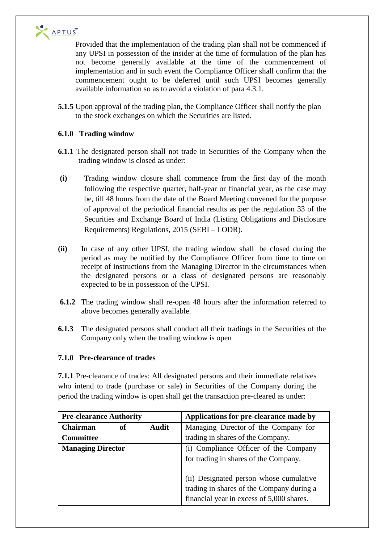

Provided that the implementation of the trading plan shall not be commenced if any UPSI in possession of the insider at the time of formulation of the plan has not become generally available at the time of the commencement of implementation and in such event the Compliance Officer shall confirm that the commencement ought to be deferred until such UPSI becomes generally available information so as to avoid a violation of para 4.3.1.

**5.1.5** Upon approval of the trading plan, the Compliance Officer shall notify the plan to the stock exchanges on which the Securities are listed.

# **6.1.0 Trading window**

- **6.1.1** The designated person shall not trade in Securities of the Company when the trading window is closed as under:
- **(i)** Trading window closure shall commence from the first day of the month following the respective quarter, half-year or financial year, as the case may be, till 48 hours from the date of the Board Meeting convened for the purpose of approval of the periodical financial results as per the regulation 33 of the Securities and Exchange Board of India (Listing Obligations and Disclosure Requirements) Regulations, 2015 (SEBI – LODR).
- **(ii)** In case of any other UPSI, the trading window shall be closed during the period as may be notified by the Compliance Officer from time to time on receipt of instructions from the Managing Director in the circumstances when the designated persons or a class of designated persons are reasonably expected to be in possession of the UPSI.
- **6.1.2** The trading window shall re-open 48 hours after the information referred to above becomes generally available.
- **6.1.3** The designated persons shall conduct all their tradings in the Securities of the Company only when the trading window is open

## **7.1.0 Pre-clearance of trades**

**7.1.1** Pre-clearance of trades: All designated persons and their immediate relatives who intend to trade (purchase or sale) in Securities of the Company during the period the trading window is open shall get the transaction pre-cleared as under:

| <b>Pre-clearance Authority</b>        | Applications for pre-clearance made by                                                                                            |
|---------------------------------------|-----------------------------------------------------------------------------------------------------------------------------------|
| <b>Audit</b><br><b>Chairman</b><br>of | Managing Director of the Company for                                                                                              |
| <b>Committee</b>                      | trading in shares of the Company.                                                                                                 |
| <b>Managing Director</b>              | (i) Compliance Officer of the Company<br>for trading in shares of the Company.                                                    |
|                                       | (ii) Designated person whose cumulative<br>trading in shares of the Company during a<br>financial year in excess of 5,000 shares. |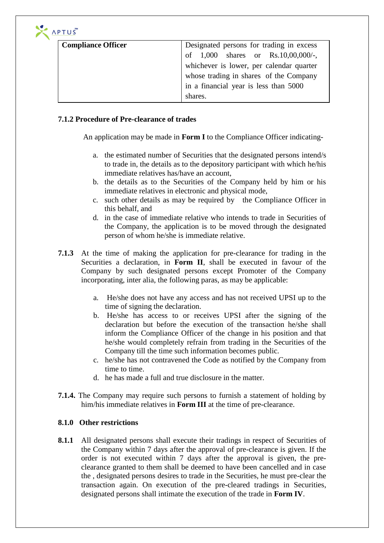| <b>Compliance Officer</b> | Designated persons for trading in excess |  |  |  |  |  |
|---------------------------|------------------------------------------|--|--|--|--|--|
|                           | of $1,000$ shares or Rs.10,00,000/-,     |  |  |  |  |  |
|                           | whichever is lower, per calendar quarter |  |  |  |  |  |
|                           | whose trading in shares of the Company   |  |  |  |  |  |
|                           | in a financial year is less than 5000    |  |  |  |  |  |
|                           | shares.                                  |  |  |  |  |  |

## **7.1.2 Procedure of Pre-clearance of trades**

An application may be made in **Form I** to the Compliance Officer indicating-

- a. the estimated number of Securities that the designated persons intend/s to trade in, the details as to the depository participant with which he/his immediate relatives has/have an account,
- b. the details as to the Securities of the Company held by him or his immediate relatives in electronic and physical mode,
- c. such other details as may be required by the Compliance Officer in this behalf, and
- d. in the case of immediate relative who intends to trade in Securities of the Company, the application is to be moved through the designated person of whom he/she is immediate relative.
- **7.1.3** At the time of making the application for pre-clearance for trading in the Securities a declaration, in **Form II**, shall be executed in favour of the Company by such designated persons except Promoter of the Company incorporating, inter alia, the following paras, as may be applicable:
	- a. He/she does not have any access and has not received UPSI up to the time of signing the declaration.
	- b. He/she has access to or receives UPSI after the signing of the declaration but before the execution of the transaction he/she shall inform the Compliance Officer of the change in his position and that he/she would completely refrain from trading in the Securities of the Company till the time such information becomes public.
	- c. he/she has not contravened the Code as notified by the Company from time to time.
	- d. he has made a full and true disclosure in the matter.
- **7.1.4.** The Company may require such persons to furnish a statement of holding by him/his immediate relatives in **Form III** at the time of pre-clearance.

# **8.1.0 Other restrictions**

**8.1.1** All designated persons shall execute their tradings in respect of Securities of the Company within 7 days after the approval of pre-clearance is given. If the order is not executed within 7 days after the approval is given, the preclearance granted to them shall be deemed to have been cancelled and in case the , designated persons desires to trade in the Securities, he must pre-clear the transaction again. On execution of the pre-cleared tradings in Securities, designated persons shall intimate the execution of the trade in **Form IV**.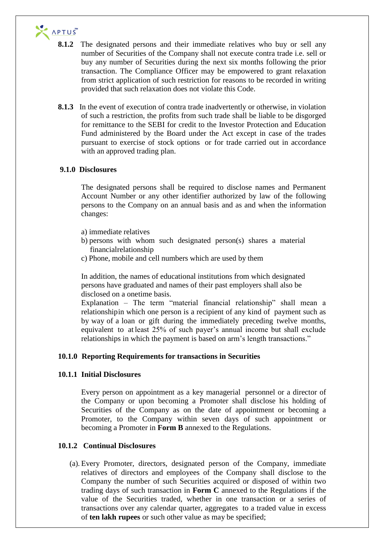

- **8.1.2** The designated persons and their immediate relatives who buy or sell any number of Securities of the Company shall not execute contra trade i.e. sell or buy any number of Securities during the next six months following the prior transaction. The Compliance Officer may be empowered to grant relaxation from strict application of such restriction for reasons to be recorded in writing provided that such relaxation does not violate this Code.
- **8.1.3** In the event of execution of contra trade inadvertently or otherwise, in violation of such a restriction, the profits from such trade shall be liable to be disgorged for remittance to the SEBI for credit to the Investor Protection and Education Fund administered by the Board under the Act except in case of the trades pursuant to exercise of stock options or for trade carried out in accordance with an approved trading plan.

## **9.1.0 Disclosures**

The designated persons shall be required to disclose names and Permanent Account Number or any other identifier authorized by law of the following persons to the Company on an annual basis and as and when the information changes:

- a) immediate relatives
- b) persons with whom such designated person(s) shares a material financial relationship
- c) Phone, mobile and cell numbers which are used by them

In addition, the names of educational institutions from which designated persons have graduated and names of their past employers shall also be disclosed on a one time basis.

Explanation – The term "material financial relationship" shall mean a relationship in which one person is a recipient of any kind of payment such as by way of a loan or gift during the immediately preceding twelve months, equivalent to at least 25% of such payer's annual income but shall exclude relationships in which the payment is based on arm's length transactions."

## **10.1.0 Reporting Requirements for transactions in Securities**

## **10.1.1 Initial Disclosures**

Every person on appointment as a key managerial personnel or a director of the Company or upon becoming a Promoter shall disclose his holding of Securities of the Company as on the date of appointment or becoming a Promoter, to the Company within seven days of such appointment or becoming a Promoter in **Form B** annexed to the Regulations.

## **10.1.2 Continual Disclosures**

(a). Every Promoter, directors, designated person of the Company, immediate relatives of directors and employees of the Company shall disclose to the Company the number of such Securities acquired or disposed of within two trading days of such transaction in **Form C** annexed to the Regulations if the value of the Securities traded, whether in one transaction or a series of transactions over any calendar quarter, aggregates to a traded value in excess of **ten lakh rupees** or such other value as may be specified;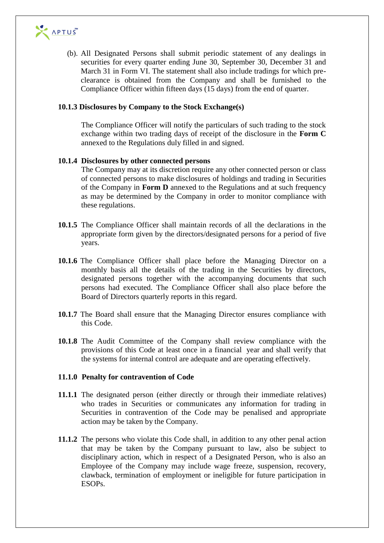

(b). All Designated Persons shall submit periodic statement of any dealings in securities for every quarter ending June 30, September 30, December 31 and March 31 in Form VI. The statement shall also include tradings for which preclearance is obtained from the Company and shall be furnished to the Compliance Officer within fifteen days (15 days) from the end of quarter.

#### **10.1.3 Disclosures by Company to the Stock Exchange(s)**

The Compliance Officer will notify the particulars of such trading to the stock exchange within two trading days of receipt of the disclosure in the **Form C**  annexed to the Regulations duly filled in and signed.

#### **10.1.4 Disclosures by other connected persons**

The Company may at its discretion require any other connected person or class of connected persons to make disclosures of holdings and trading in Securities of the Company in **Form D** annexed to the Regulations and at such frequency as may be determined by the Company in order to monitor compliance with these regulations.

- **10.1.5** The Compliance Officer shall maintain records of all the declarations in the appropriate form given by the directors/designated persons for a period of five years.
- **10.1.6** The Compliance Officer shall place before the Managing Director on a monthly basis all the details of the trading in the Securities by directors, designated persons together with the accompanying documents that such persons had executed. The Compliance Officer shall also place before the Board of Directors quarterly reports in this regard.
- **10.1.7** The Board shall ensure that the Managing Director ensures compliance with this Code.
- **10.1.8** The Audit Committee of the Company shall review compliance with the provisions of this Code at least once in a financial year and shall verify that the systems for internal control are adequate and are operating effectively.

#### **11.1.0 Penalty for contravention of Code**

- **11.1.1** The designated person (either directly or through their immediate relatives) who trades in Securities or communicates any information for trading in Securities in contravention of the Code may be penalised and appropriate action may be taken by the Company.
- **11.1.2** The persons who violate this Code shall, in addition to any other penal action that may be taken by the Company pursuant to law, also be subject to disciplinary action, which in respect of a Designated Person, who is also an Employee of the Company may include wage freeze, suspension, recovery, clawback, termination of employment or ineligible for future participation in ESOPs.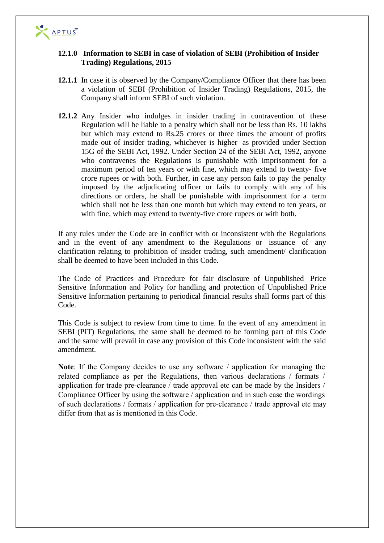

## **12.1.0 Information to SEBI in case of violation of SEBI (Prohibition of Insider Trading) Regulations, 2015**

- **12.1.1** In case it is observed by the Company/Compliance Officer that there has been a violation of SEBI (Prohibition of Insider Trading) Regulations, 2015, the Company shall inform SEBI of such violation.
- **12.1.2** Any Insider who indulges in insider trading in contravention of these Regulation will be liable to a penalty which shall not be less than Rs. 10 lakhs but which may extend to Rs.25 crores or three times the amount of profits made out of insider trading, whichever is higher as provided under Section 15G of the SEBI Act, 1992. Under Section 24 of the SEBI Act, 1992, anyone who contravenes the Regulations is punishable with imprisonment for a maximum period of ten years or with fine, which may extend to twenty- five crore rupees or with both. Further, in case any person fails to pay the penalty imposed by the adjudicating officer or fails to comply with any of his directions or orders, he shall be punishable with imprisonment for a term which shall not be less than one month but which may extend to ten years, or with fine, which may extend to twenty-five crore rupees or with both.

If any rules under the Code are in conflict with or inconsistent with the Regulations and in the event of any amendment to the Regulations or issuance of any clarification relating to prohibition of insider trading, such amendment/ clarification shall be deemed to have been included in this Code.

The Code of Practices and Procedure for fair disclosure of Unpublished Price Sensitive Information and Policy for handling and protection of Unpublished Price Sensitive Information pertaining to periodical financial results shall forms part of this Code.

This Code is subject to review from time to time. In the event of any amendment in SEBI (PIT) Regulations, the same shall be deemed to be forming part of this Code and the same will prevail in case any provision of this Code inconsistent with the said amendment.

**Note**: If the Company decides to use any software / application for managing the related compliance as per the Regulations, then various declarations / formats / application for trade pre-clearance / trade approval etc can be made by the Insiders / Compliance Officer by using the software / application and in such case the wordings of such declarations / formats / application for pre-clearance / trade approval etc may differ from that as is mentioned in this Code.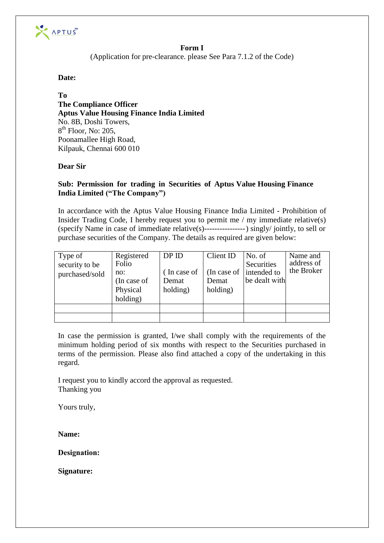

## **Form I**

(Application for pre-clearance. please See Para 7.1.2 of the Code)

## **Date:**

**To The Compliance Officer Aptus Value Housing Finance India Limited**  No. 8B, Doshi Towers, 8<sup>th</sup> Floor, No: 205, Poonamallee High Road, Kilpauk, Chennai 600 010

# **Dear Sir**

## **Sub: Permission for trading in Securities of Aptus Value Housing Finance India Limited ("The Company")**

In accordance with the Aptus Value Housing Finance India Limited - Prohibition of Insider Trading Code, I hereby request you to permit me / my immediate relative(s) (specify Name in case of immediate relative(s)---------------- ) singly/ jointly, to sell or purchase securities of the Company. The details as required are given below:

| Type of<br>security to be<br>purchased/sold | Registered<br>Folio<br>no:<br>(In case of<br>Physical<br>holding) | DPID<br>(In case of<br>Demat<br>holding) | Client ID<br>(In case of<br>Demat<br>holding) | No. of<br>Securities<br>intended to<br>be dealt with | Name and<br>address of<br>the Broker |
|---------------------------------------------|-------------------------------------------------------------------|------------------------------------------|-----------------------------------------------|------------------------------------------------------|--------------------------------------|
|                                             |                                                                   |                                          |                                               |                                                      |                                      |
|                                             |                                                                   |                                          |                                               |                                                      |                                      |

In case the permission is granted, I/we shall comply with the requirements of the minimum holding period of six months with respect to the Securities purchased in terms of the permission. Please also find attached a copy of the undertaking in this regard.

I request you to kindly accord the approval as requested. Thanking you

Yours truly,

**Name:**

**Designation:**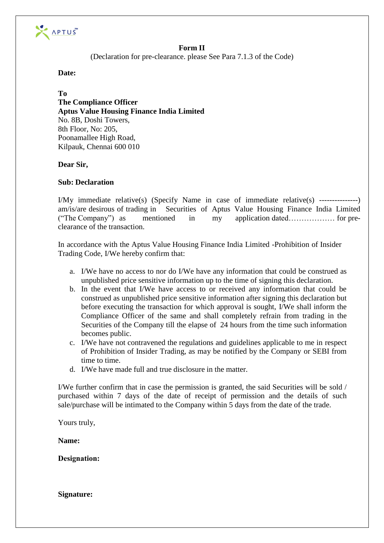

## **Form II**

(Declaration for pre-clearance. please See Para 7.1.3 of the Code)

## **Date:**

**To The Compliance Officer Aptus Value Housing Finance India Limited**  No. 8B, Doshi Towers, 8th Floor, No: 205, Poonamallee High Road, Kilpauk, Chennai 600 010

## **Dear Sir,**

## **Sub: Declaration**

I/My immediate relative(s) (Specify Name in case of immediate relative(s) ---------------) am/is/are desirous of trading in Securities of Aptus Value Housing Finance India Limited ("The Company") as mentioned in my application dated……………… for preclearance of the transaction.

In accordance with the Aptus Value Housing Finance India Limited -Prohibition of Insider Trading Code, I/We hereby confirm that:

- a. I/We have no access to nor do I/We have any information that could be construed as unpublished price sensitive information up to the time of signing this declaration.
- b. In the event that I/We have access to or received any information that could be construed as unpublished price sensitive information after signing this declaration but before executing the transaction for which approval is sought, I/We shall inform the Compliance Officer of the same and shall completely refrain from trading in the Securities of the Company till the elapse of 24 hours from the time such information becomes public.
- c. I/We have not contravened the regulations and guidelines applicable to me in respect of Prohibition of Insider Trading, as may be notified by the Company or SEBI from time to time.
- d. I/We have made full and true disclosure in the matter.

I/We further confirm that in case the permission is granted, the said Securities will be sold / purchased within 7 days of the date of receipt of permission and the details of such sale/purchase will be intimated to the Company within 5 days from the date of the trade.

Yours truly,

**Name:** 

**Designation:**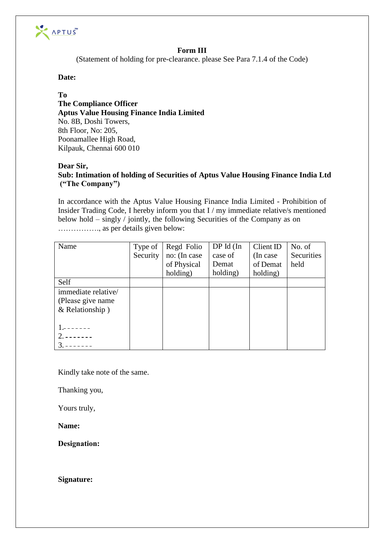

## **Form III**

(Statement of holding for pre-clearance. please See Para 7.1.4 of the Code)

## **Date:**

## **To**

**The Compliance Officer Aptus Value Housing Finance India Limited**  No. 8B, Doshi Towers, 8th Floor, No: 205, Poonamallee High Road, Kilpauk, Chennai 600 010

# **Dear Sir,**

**Sub: Intimation of holding of Securities of Aptus Value Housing Finance India Ltd ("The Company")**

In accordance with the Aptus Value Housing Finance India Limited - Prohibition of Insider Trading Code, I hereby inform you that I / my immediate relative/s mentioned below hold – singly / jointly, the following Securities of the Company as on ……………., as per details given below:

| Name                | Type of  | Regd Folio   | $DPId$ (In | Client ID | No. of     |
|---------------------|----------|--------------|------------|-----------|------------|
|                     | Security | no: (In case | case of    | (In case) | Securities |
|                     |          | of Physical  | Demat      | of Demat  | held       |
|                     |          | holding)     | holding)   | holding)  |            |
| Self                |          |              |            |           |            |
| immediate relative/ |          |              |            |           |            |
| (Please give name)  |          |              |            |           |            |
| & Relationship)     |          |              |            |           |            |
|                     |          |              |            |           |            |
|                     |          |              |            |           |            |
|                     |          |              |            |           |            |
|                     |          |              |            |           |            |

Kindly take note of the same.

Thanking you,

Yours truly,

**Name:** 

**Designation:**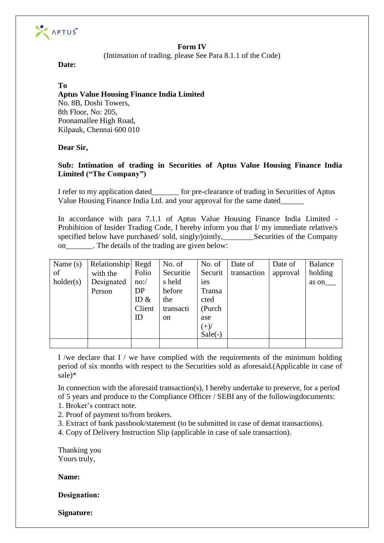

# **Form IV**

(Intimation of trading. please See Para 8.1.1 of the Code)

**Date:** 

## **To**

# **Aptus Value Housing Finance India Limited**  No. 8B, Doshi Towers, 8th Floor, No: 205,

Poonamallee High Road, Kilpauk, Chennai 600 010

# **Dear Sir,**

# **Sub: Intimation of trading in Securities of Aptus Value Housing Finance India Limited ("The Company")**

I refer to my application dated\_\_\_\_\_\_\_ for pre-clearance of trading in Securities of Aptus Value Housing Finance India Ltd. and your approval for the same dated\_\_\_\_\_\_

In accordance with para 7.1.1 of Aptus Value Housing Finance India Limited - Prohibition of Insider Trading Code, I hereby inform you that I/ my immediate relative/s specified below have purchased/ sold, singly/jointly, Securities of the Company on The details of the trading are given below:

| Name $(s)$<br>of<br>holder(s) | Relationship Regd<br>with the<br>Designated<br>Person | Folio<br>no:/<br>DP<br>ID $\&$<br>Client<br>ID | No. of<br>Securitie<br>s held<br>before<br>the<br>transacti<br><sub>on</sub> | No. of<br>Securit<br><i>i</i> es<br>Transa<br>cted<br>(Purch)<br>ase<br>$(+)/$ | Date of<br>transaction | Date of<br>approval | <b>Balance</b><br>holding<br>as on |
|-------------------------------|-------------------------------------------------------|------------------------------------------------|------------------------------------------------------------------------------|--------------------------------------------------------------------------------|------------------------|---------------------|------------------------------------|
|                               |                                                       |                                                |                                                                              | $Sale(-)$                                                                      |                        |                     |                                    |
|                               |                                                       |                                                |                                                                              |                                                                                |                        |                     |                                    |

I /we declare that I / we have complied with the requirements of the minimum holding period of six months with respect to the Securities sold as aforesaid.(Applicable in case of sale)\*

In connection with the aforesaid transaction(s), I hereby undertake to preserve, for a period of 5 years and produce to the Compliance Officer / SEBI any of the following documents:

- 1. Broker's contract note.
- 2. Proof of payment to/from brokers.
- 3. Extract of bank passbook/statement (to be submitted in case of demat transactions).
- 4. Copy of Delivery Instruction Slip (applicable in case of sale transaction).

Thanking you Yours truly,

**Name:** 

**Designation:**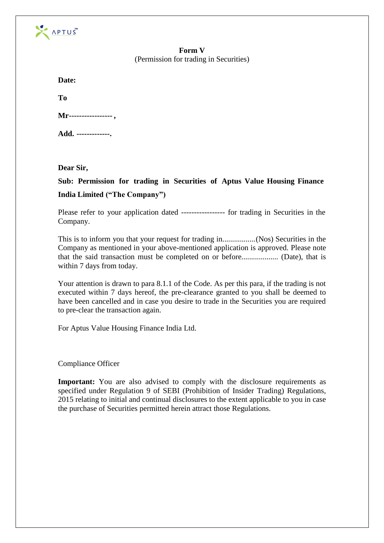

## **Form V**  (Permission for trading in Securities)

**To**

| Mr------------------ |
|----------------------|
|----------------------|

**Add. -------------.** 

**Dear Sir,** 

**Sub: Permission for trading in Securities of Aptus Value Housing Finance India Limited ("The Company")**

Please refer to your application dated ----------------- for trading in Securities in the Company.

This is to inform you that your request for trading in. ................ (Nos) Securities in the Company as mentioned in your above-mentioned application is approved. Please note that the said transaction must be completed on or before................... (Date), that is within 7 days from today.

Your attention is drawn to para 8.1.1 of the Code. As per this para, if the trading is not executed within 7 days hereof, the pre-clearance granted to you shall be deemed to have been cancelled and in case you desire to trade in the Securities you are required to pre-clear the transaction again.

For Aptus Value Housing Finance India Ltd.

# Compliance Officer

**Important:** You are also advised to comply with the disclosure requirements as specified under Regulation 9 of SEBI (Prohibition of Insider Trading) Regulations, 2015 relating to initial and continual disclosures to the extent applicable to you in case the purchase of Securities permitted herein attract those Regulations.